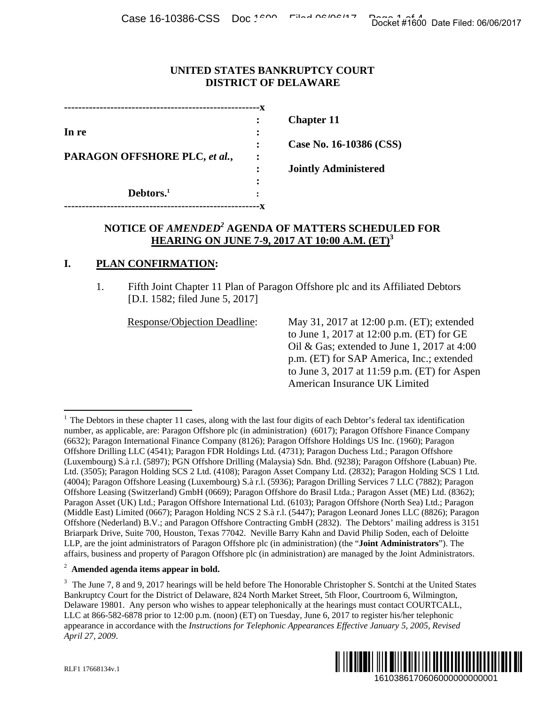### **UNITED STATES BANKRUPTCY COURT DISTRICT OF DELAWARE**

|                               |   | <b>Chapter 11</b>           |
|-------------------------------|---|-----------------------------|
| In re                         |   |                             |
|                               |   | Case No. 16-10386 (CSS)     |
| PARAGON OFFSHORE PLC, et al., | ٠ |                             |
|                               |   | <b>Jointly Administered</b> |
|                               |   |                             |
| Debtors. <sup>1</sup>         |   |                             |
|                               |   |                             |

# **NOTICE OF** *AMENDED<sup>2</sup>* **AGENDA OF MATTERS SCHEDULED FOR HEARING ON JUNE 7-9, 2017 AT 10:00 A.M. (ET)3**

## **I. PLAN CONFIRMATION:**

1. Fifth Joint Chapter 11 Plan of Paragon Offshore plc and its Affiliated Debtors [D.I. 1582; filed June 5, 2017]

Response/Objection Deadline: May 31, 2017 at 12:00 p.m. (ET); extended to June 1, 2017 at 12:00 p.m. (ET) for GE Oil & Gas; extended to June 1, 2017 at 4:00 p.m. (ET) for SAP America, Inc.; extended to June 3, 2017 at 11:59 p.m. (ET) for Aspen American Insurance UK Limited

#### 2 **Amended agenda items appear in bold.**

<sup>&</sup>lt;sup>3</sup> The June 7, 8 and 9, 2017 hearings will be held before The Honorable Christopher S. Sontchi at the United States Bankruptcy Court for the District of Delaware, 824 North Market Street, 5th Floor, Courtroom 6, Wilmington, Delaware 19801. Any person who wishes to appear telephonically at the hearings must contact COURTCALL, LLC at 866-582-6878 prior to 12:00 p.m. (noon) (ET) on Tuesday, June 6, 2017 to register his/her telephonic appearance in accordance with the *Instructions for Telephonic Appearances Effective January 5, 2005, Revised April 27, 2009*.



1

 $1$  The Debtors in these chapter 11 cases, along with the last four digits of each Debtor's federal tax identification number, as applicable, are: Paragon Offshore plc (in administration) (6017); Paragon Offshore Finance Company (6632); Paragon International Finance Company (8126); Paragon Offshore Holdings US Inc. (1960); Paragon Offshore Drilling LLC (4541); Paragon FDR Holdings Ltd. (4731); Paragon Duchess Ltd.; Paragon Offshore (Luxembourg) S.à r.l. (5897); PGN Offshore Drilling (Malaysia) Sdn. Bhd. (9238); Paragon Offshore (Labuan) Pte. Ltd. (3505); Paragon Holding SCS 2 Ltd. (4108); Paragon Asset Company Ltd. (2832); Paragon Holding SCS 1 Ltd. (4004); Paragon Offshore Leasing (Luxembourg) S.à r.l. (5936); Paragon Drilling Services 7 LLC (7882); Paragon Offshore Leasing (Switzerland) GmbH (0669); Paragon Offshore do Brasil Ltda.; Paragon Asset (ME) Ltd. (8362); Paragon Asset (UK) Ltd.; Paragon Offshore International Ltd. (6103); Paragon Offshore (North Sea) Ltd.; Paragon (Middle East) Limited (0667); Paragon Holding NCS 2 S.à r.l. (5447); Paragon Leonard Jones LLC (8826); Paragon Offshore (Nederland) B.V.; and Paragon Offshore Contracting GmbH (2832). The Debtors' mailing address is 3151 Briarpark Drive, Suite 700, Houston, Texas 77042. Neville Barry Kahn and David Philip Soden, each of Deloitte LLP, are the joint administrators of Paragon Offshore plc (in administration) (the "**Joint Administrators**"). The affairs, business and property of Paragon Offshore plc (in administration) are managed by the Joint Administrators. Docket #1600 Date Filed: 06/06/2017<br>
[<br>
T<br>
T<br>
T<br>
T<br>
T<br>
T<br>
T<br>
T<br>
T<br>
T<br>
T<br>
I<br>
I<br>
I<br>
S<br>
S<br>
S<br>
S<br>
Affiliated Debtors<br>
200 p.m. (ET); extended<br>
2:00 p.m. (ET) for GE<br>
d<br>
D June 1, 2017 at 4:00<br>
D<br>
D<br>
D<br>
T<br>
O D June 1, 2017 at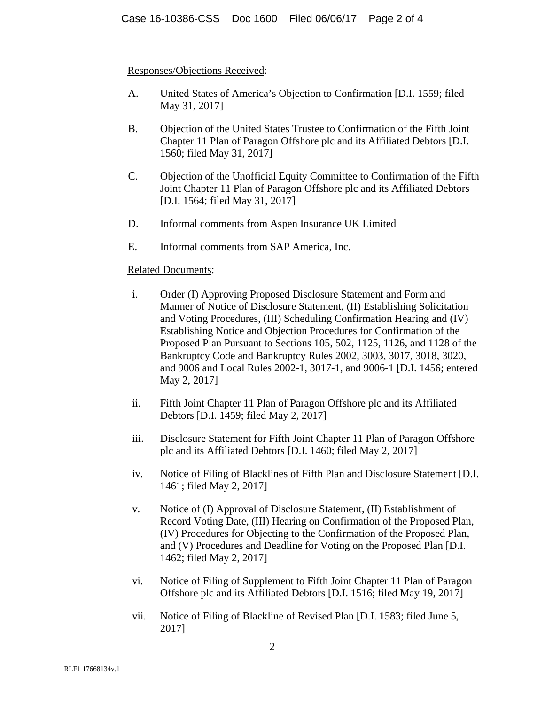## Responses/Objections Received:

- A. United States of America's Objection to Confirmation [D.I. 1559; filed May 31, 2017]
- B. Objection of the United States Trustee to Confirmation of the Fifth Joint Chapter 11 Plan of Paragon Offshore plc and its Affiliated Debtors [D.I. 1560; filed May 31, 2017]
- C. Objection of the Unofficial Equity Committee to Confirmation of the Fifth Joint Chapter 11 Plan of Paragon Offshore plc and its Affiliated Debtors [D.I. 1564; filed May 31, 2017]
- D. Informal comments from Aspen Insurance UK Limited
- E. Informal comments from SAP America, Inc.

## Related Documents:

- i. Order (I) Approving Proposed Disclosure Statement and Form and Manner of Notice of Disclosure Statement, (II) Establishing Solicitation and Voting Procedures, (III) Scheduling Confirmation Hearing and (IV) Establishing Notice and Objection Procedures for Confirmation of the Proposed Plan Pursuant to Sections 105, 502, 1125, 1126, and 1128 of the Bankruptcy Code and Bankruptcy Rules 2002, 3003, 3017, 3018, 3020, and 9006 and Local Rules 2002-1, 3017-1, and 9006-1 [D.I. 1456; entered May 2, 2017]
- ii. Fifth Joint Chapter 11 Plan of Paragon Offshore plc and its Affiliated Debtors [D.I. 1459; filed May 2, 2017]
- iii. Disclosure Statement for Fifth Joint Chapter 11 Plan of Paragon Offshore plc and its Affiliated Debtors [D.I. 1460; filed May 2, 2017]
- iv. Notice of Filing of Blacklines of Fifth Plan and Disclosure Statement [D.I. 1461; filed May 2, 2017]
- v. Notice of (I) Approval of Disclosure Statement, (II) Establishment of Record Voting Date, (III) Hearing on Confirmation of the Proposed Plan, (IV) Procedures for Objecting to the Confirmation of the Proposed Plan, and (V) Procedures and Deadline for Voting on the Proposed Plan [D.I. 1462; filed May 2, 2017]
- vi. Notice of Filing of Supplement to Fifth Joint Chapter 11 Plan of Paragon Offshore plc and its Affiliated Debtors [D.I. 1516; filed May 19, 2017]
- vii. Notice of Filing of Blackline of Revised Plan [D.I. 1583; filed June 5, 2017]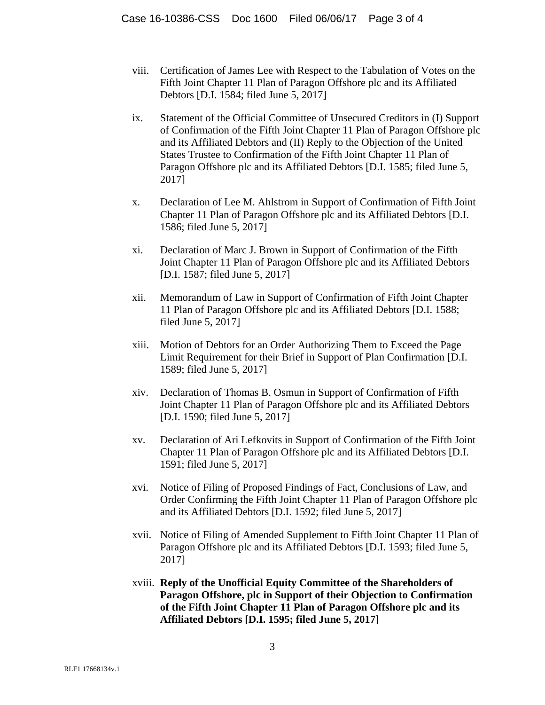- viii. Certification of James Lee with Respect to the Tabulation of Votes on the Fifth Joint Chapter 11 Plan of Paragon Offshore plc and its Affiliated Debtors [D.I. 1584; filed June 5, 2017]
- ix. Statement of the Official Committee of Unsecured Creditors in (I) Support of Confirmation of the Fifth Joint Chapter 11 Plan of Paragon Offshore plc and its Affiliated Debtors and (II) Reply to the Objection of the United States Trustee to Confirmation of the Fifth Joint Chapter 11 Plan of Paragon Offshore plc and its Affiliated Debtors [D.I. 1585; filed June 5, 2017]
- x. Declaration of Lee M. Ahlstrom in Support of Confirmation of Fifth Joint Chapter 11 Plan of Paragon Offshore plc and its Affiliated Debtors [D.I. 1586; filed June 5, 2017]
- xi. Declaration of Marc J. Brown in Support of Confirmation of the Fifth Joint Chapter 11 Plan of Paragon Offshore plc and its Affiliated Debtors [D.I. 1587; filed June 5, 2017]
- xii. Memorandum of Law in Support of Confirmation of Fifth Joint Chapter 11 Plan of Paragon Offshore plc and its Affiliated Debtors [D.I. 1588; filed June 5, 2017]
- xiii. Motion of Debtors for an Order Authorizing Them to Exceed the Page Limit Requirement for their Brief in Support of Plan Confirmation [D.I. 1589; filed June 5, 2017]
- xiv. Declaration of Thomas B. Osmun in Support of Confirmation of Fifth Joint Chapter 11 Plan of Paragon Offshore plc and its Affiliated Debtors [D.I. 1590; filed June 5, 2017]
- xv. Declaration of Ari Lefkovits in Support of Confirmation of the Fifth Joint Chapter 11 Plan of Paragon Offshore plc and its Affiliated Debtors [D.I. 1591; filed June 5, 2017]
- xvi. Notice of Filing of Proposed Findings of Fact, Conclusions of Law, and Order Confirming the Fifth Joint Chapter 11 Plan of Paragon Offshore plc and its Affiliated Debtors [D.I. 1592; filed June 5, 2017]
- xvii. Notice of Filing of Amended Supplement to Fifth Joint Chapter 11 Plan of Paragon Offshore plc and its Affiliated Debtors [D.I. 1593; filed June 5, 2017]
- xviii. **Reply of the Unofficial Equity Committee of the Shareholders of Paragon Offshore, plc in Support of their Objection to Confirmation of the Fifth Joint Chapter 11 Plan of Paragon Offshore plc and its Affiliated Debtors [D.I. 1595; filed June 5, 2017]**